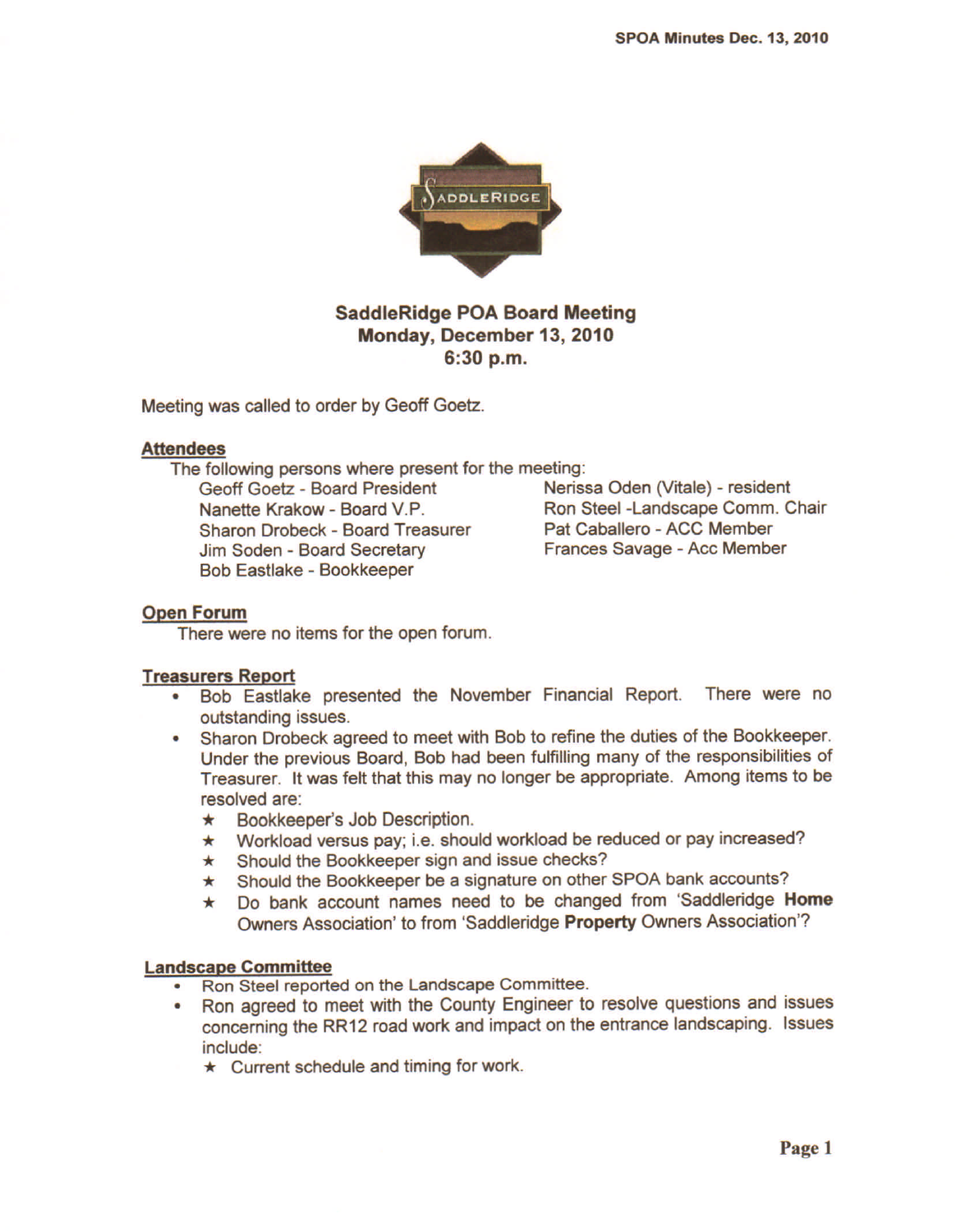

# SaddleRidge POA Board Meeting Monday, December 13, 2010 6:30 p.m.

Meeting was called to order by Geoff Goetz.

### Attendees

The following persons where present for the meeting:

Geoff Goetz - Board President Nerissa Oden (Vitale) - resident Nanette Krakow - Board V.P. Ron Steel -Landscape Comm. Chair Sharon Drobeck - Board Treasurer Pat Caballero - ACC Member Jim Soden - Board Secretary Frances Savage - Acc Member Bob Eastlake - Bookkeeper

# Open Forum

There were no items for the open forum.

# Treasurers Report

- Bob Eastlake presented the November Financial Report. There were no outstanding issues.
- Sharon Orobeck agreed to meet with Bob to refine the duties of the Bookkeeper. Under the previous Board, Bob had been fulfilling many of the responsibilities of Treasurer. It was felt that this may no longer be appropriate. Among items to be resolved are:<br> **\*** Bookkeeper's Job Description.
	-
	- ★ Bookkeeper's Job Description<br>★ Workload versus pay; i.e. sho ★ Workload versus pay; i.e. should workload be reduced or pay increased<br>★ Should the Bookkeeper sign and issue checks?
	-
	- ★ Should the Bookkeeper sign and issue checks?<br>★ Should the Bookkeeper be a signature on other SPOA bank accounts?
	- ★ Should the Bookkeeper be a signature on other SPOA bank accounts?<br>★ Do bank account names need to be changed from 'Saddleridge **Hom**e Owners Association' to from 'Saddleridge Property Owners Association'?

### Landscape Committee

- Ron Steel reported on the Landscape Committee.
- Ron agreed to meet with the County Engineer to resolve questions and issues concerning the RR12 road work and impact on the entrance landscaping. Issues
	- include:<br>★ Current schedule and timing for work